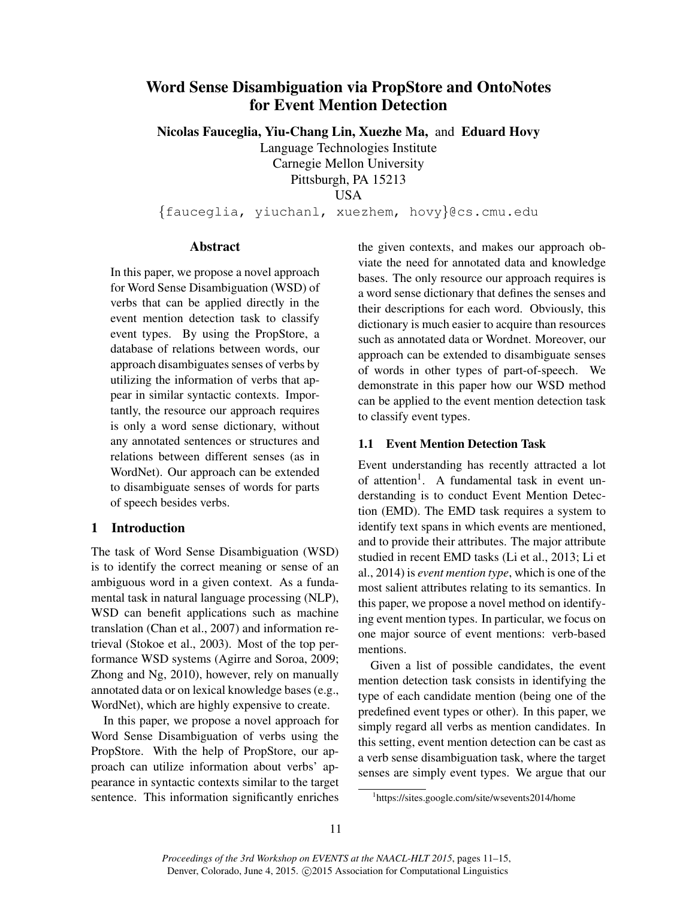# Word Sense Disambiguation via PropStore and OntoNotes for Event Mention Detection

Nicolas Fauceglia, Yiu-Chang Lin, Xuezhe Ma, and Eduard Hovy

Language Technologies Institute Carnegie Mellon University

Pittsburgh, PA 15213

**USA** 

{fauceglia, yiuchanl, xuezhem, hovy}@cs.cmu.edu

### Abstract

In this paper, we propose a novel approach for Word Sense Disambiguation (WSD) of verbs that can be applied directly in the event mention detection task to classify event types. By using the PropStore, a database of relations between words, our approach disambiguates senses of verbs by utilizing the information of verbs that appear in similar syntactic contexts. Importantly, the resource our approach requires is only a word sense dictionary, without any annotated sentences or structures and relations between different senses (as in WordNet). Our approach can be extended to disambiguate senses of words for parts of speech besides verbs.

## 1 Introduction

The task of Word Sense Disambiguation (WSD) is to identify the correct meaning or sense of an ambiguous word in a given context. As a fundamental task in natural language processing (NLP), WSD can benefit applications such as machine translation (Chan et al., 2007) and information retrieval (Stokoe et al., 2003). Most of the top performance WSD systems (Agirre and Soroa, 2009; Zhong and Ng, 2010), however, rely on manually annotated data or on lexical knowledge bases (e.g., WordNet), which are highly expensive to create.

In this paper, we propose a novel approach for Word Sense Disambiguation of verbs using the PropStore. With the help of PropStore, our approach can utilize information about verbs' appearance in syntactic contexts similar to the target sentence. This information significantly enriches

the given contexts, and makes our approach obviate the need for annotated data and knowledge bases. The only resource our approach requires is a word sense dictionary that defines the senses and their descriptions for each word. Obviously, this dictionary is much easier to acquire than resources such as annotated data or Wordnet. Moreover, our approach can be extended to disambiguate senses of words in other types of part-of-speech. We demonstrate in this paper how our WSD method can be applied to the event mention detection task to classify event types.

### 1.1 Event Mention Detection Task

Event understanding has recently attracted a lot of attention<sup>1</sup>. A fundamental task in event understanding is to conduct Event Mention Detection (EMD). The EMD task requires a system to identify text spans in which events are mentioned, and to provide their attributes. The major attribute studied in recent EMD tasks (Li et al., 2013; Li et al., 2014) is *event mention type*, which is one of the most salient attributes relating to its semantics. In this paper, we propose a novel method on identifying event mention types. In particular, we focus on one major source of event mentions: verb-based mentions.

Given a list of possible candidates, the event mention detection task consists in identifying the type of each candidate mention (being one of the predefined event types or other). In this paper, we simply regard all verbs as mention candidates. In this setting, event mention detection can be cast as a verb sense disambiguation task, where the target senses are simply event types. We argue that our

<sup>1</sup> https://sites.google.com/site/wsevents2014/home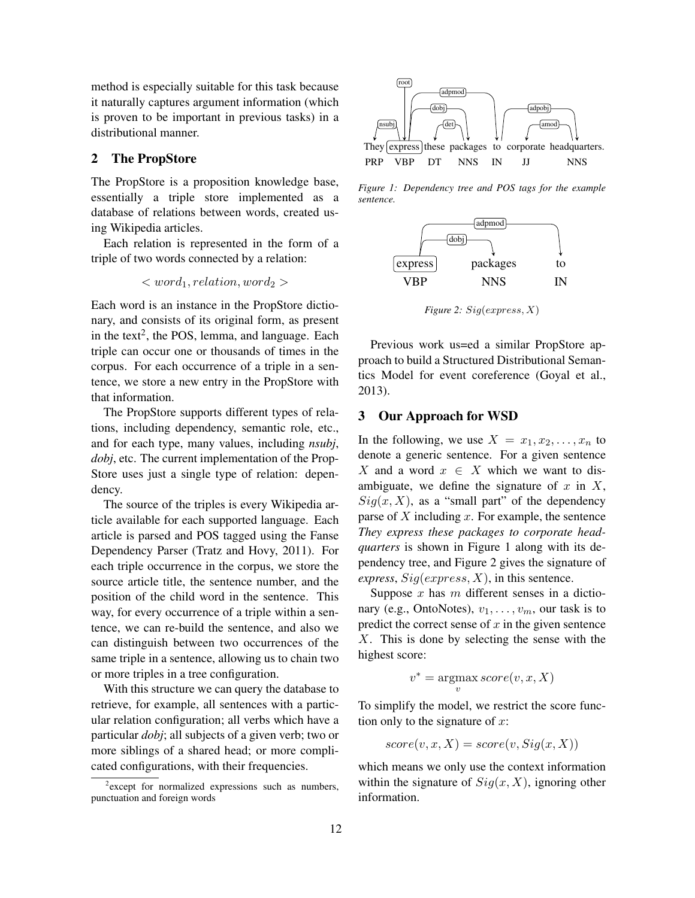method is especially suitable for this task because it naturally captures argument information (which is proven to be important in previous tasks) in a distributional manner.

#### 2 The PropStore

The PropStore is a proposition knowledge base, essentially a triple store implemented as a database of relations between words, created using Wikipedia articles.

Each relation is represented in the form of a triple of two words connected by a relation:

$$

$$

Each word is an instance in the PropStore dictionary, and consists of its original form, as present in the text<sup>2</sup>, the POS, lemma, and language. Each triple can occur one or thousands of times in the corpus. For each occurrence of a triple in a sentence, we store a new entry in the PropStore with that information.

The PropStore supports different types of relations, including dependency, semantic role, etc., and for each type, many values, including *nsubj*, *dobj*, etc. The current implementation of the Prop-Store uses just a single type of relation: dependency.

The source of the triples is every Wikipedia article available for each supported language. Each article is parsed and POS tagged using the Fanse Dependency Parser (Tratz and Hovy, 2011). For each triple occurrence in the corpus, we store the source article title, the sentence number, and the position of the child word in the sentence. This way, for every occurrence of a triple within a sentence, we can re-build the sentence, and also we can distinguish between two occurrences of the same triple in a sentence, allowing us to chain two or more triples in a tree configuration.

With this structure we can query the database to retrieve, for example, all sentences with a particular relation configuration; all verbs which have a particular *dobj*; all subjects of a given verb; two or more siblings of a shared head; or more complicated configurations, with their frequencies.



*Figure 1: Dependency tree and POS tags for the example sentence.*



*Figure 2:* Sig(express, X)

Previous work us=ed a similar PropStore approach to build a Structured Distributional Semantics Model for event coreference (Goyal et al., 2013).

#### 3 Our Approach for WSD

In the following, we use  $X = x_1, x_2, \ldots, x_n$  to denote a generic sentence. For a given sentence X and a word  $x \in X$  which we want to disambiguate, we define the signature of  $x$  in  $X$ ,  $Sig(x, X)$ , as a "small part" of the dependency parse of  $X$  including  $x$ . For example, the sentence *They express these packages to corporate headquarters* is shown in Figure 1 along with its dependency tree, and Figure 2 gives the signature of *express*,  $Sig(express, X)$ , in this sentence.

Suppose  $x$  has  $m$  different senses in a dictionary (e.g., OntoNotes),  $v_1, \ldots, v_m$ , our task is to predict the correct sense of  $x$  in the given sentence X. This is done by selecting the sense with the highest score:

$$
v^* = \operatorname*{argmax}_{v} score(v, x, X)
$$

To simplify the model, we restrict the score function only to the signature of  $x$ :

$$
score(v, x, X) = score(v, Sig(x, X))
$$

which means we only use the context information within the signature of  $Sig(x, X)$ , ignoring other information.

<sup>&</sup>lt;sup>2</sup> except for normalized expressions such as numbers, punctuation and foreign words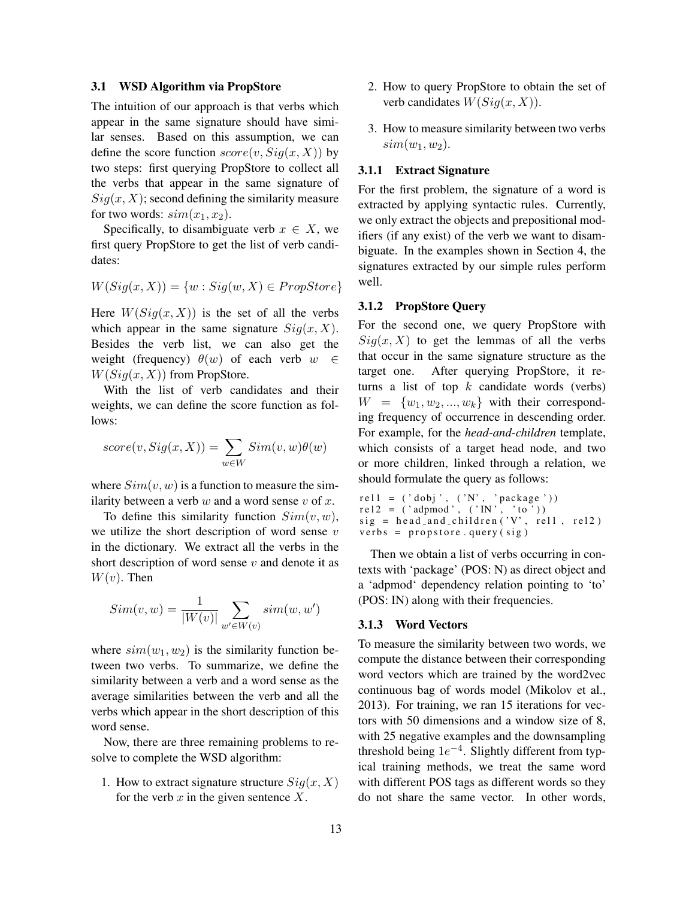#### 3.1 WSD Algorithm via PropStore

The intuition of our approach is that verbs which appear in the same signature should have similar senses. Based on this assumption, we can define the score function  $score(v, Sig(x, X))$  by two steps: first querying PropStore to collect all the verbs that appear in the same signature of  $Sig(x, X)$ ; second defining the similarity measure for two words:  $sim(x_1, x_2)$ .

Specifically, to disambiguate verb  $x \in X$ , we first query PropStore to get the list of verb candidates:

$$
W(Sig(x, X)) = \{w : Sig(w, X) \in PropStore\}
$$

Here  $W(Siq(x, X))$  is the set of all the verbs which appear in the same signature  $Sig(x, X)$ . Besides the verb list, we can also get the weight (frequency)  $\theta(w)$  of each verb  $w \in$  $W(Sig(x, X))$  from PropStore.

With the list of verb candidates and their weights, we can define the score function as follows:

$$
score(v, Sig(x, X)) = \sum_{w \in W} Sim(v, w)\theta(w)
$$

where  $Sim(v, w)$  is a function to measure the similarity between a verb  $w$  and a word sense  $v$  of  $x$ .

To define this similarity function  $Sim(v, w)$ , we utilize the short description of word sense  $v$ in the dictionary. We extract all the verbs in the short description of word sense  $v$  and denote it as  $W(v)$ . Then

$$
Sim(v, w) = \frac{1}{|W(v)|} \sum_{w' \in W(v)} sim(w, w')
$$

where  $sim(w_1, w_2)$  is the similarity function between two verbs. To summarize, we define the similarity between a verb and a word sense as the average similarities between the verb and all the verbs which appear in the short description of this word sense.

Now, there are three remaining problems to resolve to complete the WSD algorithm:

1. How to extract signature structure  $Sig(x, X)$ for the verb  $x$  in the given sentence  $X$ .

- 2. How to query PropStore to obtain the set of verb candidates  $W(Sig(x, X))$ .
- 3. How to measure similarity between two verbs  $sim(w_1, w_2)$ .

#### 3.1.1 Extract Signature

For the first problem, the signature of a word is extracted by applying syntactic rules. Currently, we only extract the objects and prepositional modifiers (if any exist) of the verb we want to disambiguate. In the examples shown in Section 4, the signatures extracted by our simple rules perform well.

#### 3.1.2 PropStore Query

For the second one, we query PropStore with  $Sig(x, X)$  to get the lemmas of all the verbs that occur in the same signature structure as the target one. After querying PropStore, it returns a list of top  $k$  candidate words (verbs)  $W = \{w_1, w_2, ..., w_k\}$  with their corresponding frequency of occurrence in descending order. For example, for the *head-and-children* template, which consists of a target head node, and two or more children, linked through a relation, we should formulate the query as follows:

rel1 = ('dobj', ('N', 'package'))  $rel2 = ('adpmod', ('IN', 'to '))$  $sig = head\_and\_children('V',\text{ rel1 },\text{ rel2 })$  $verbs = property ( sig)$ 

Then we obtain a list of verbs occurring in contexts with 'package' (POS: N) as direct object and a 'adpmod' dependency relation pointing to 'to' (POS: IN) along with their frequencies.

#### 3.1.3 Word Vectors

To measure the similarity between two words, we compute the distance between their corresponding word vectors which are trained by the word2vec continuous bag of words model (Mikolov et al., 2013). For training, we ran 15 iterations for vectors with 50 dimensions and a window size of 8, with 25 negative examples and the downsampling threshold being  $1e^{-4}$ . Slightly different from typical training methods, we treat the same word with different POS tags as different words so they do not share the same vector. In other words,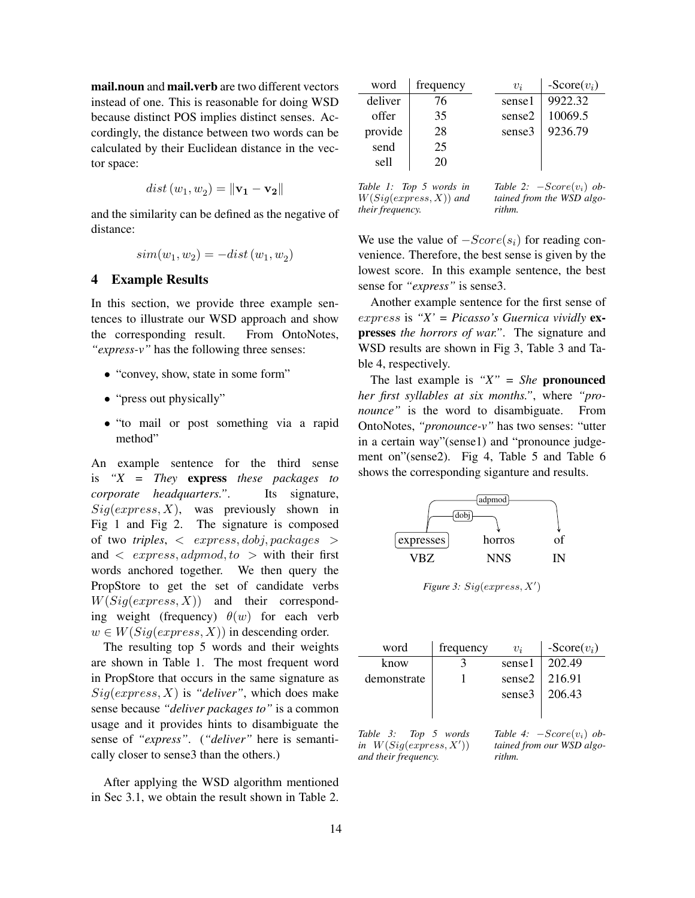mail.noun and mail.verb are two different vectors instead of one. This is reasonable for doing WSD because distinct POS implies distinct senses. Accordingly, the distance between two words can be calculated by their Euclidean distance in the vector space:

$$
dist(w_1, w_2) = \|\mathbf{v_1} - \mathbf{v_2}\|
$$

and the similarity can be defined as the negative of distance:

$$
sim(w_1, w_2) = -dist(w_1, w_2)
$$

#### 4 Example Results

In this section, we provide three example sentences to illustrate our WSD approach and show the corresponding result. From OntoNotes, *"express-v"* has the following three senses:

- "convey, show, state in some form"
- "press out physically"
- "to mail or post something via a rapid method"

An example sentence for the third sense is *"X = They* express *these packages to corporate headquarters."*. Its signature,  $Sig(express, X)$ , was previously shown in Fig 1 and Fig 2. The signature is composed of two *triples*, < express, dobj, packages > and  $\langle$  express, adpmod, to  $>$  with their first words anchored together. We then query the PropStore to get the set of candidate verbs  $W(Sig(express, X))$  and their corresponding weight (frequency)  $\theta(w)$  for each verb  $w \in W(Siq(express, X))$  in descending order.

The resulting top 5 words and their weights are shown in Table 1. The most frequent word in PropStore that occurs in the same signature as  $Sig(express, X)$  is "*deliver*", which does make sense because *"deliver packages to"* is a common usage and it provides hints to disambiguate the sense of *"express"*. (*"deliver"* here is semantically closer to sense3 than the others.)

After applying the WSD algorithm mentioned in Sec 3.1, we obtain the result shown in Table 2.

| word    | frequency | $v_i$  | $-Score(v_i)$ |
|---------|-----------|--------|---------------|
| deliver | 76        | sense1 | 9922.32       |
| offer   | 35        | sense2 | 10069.5       |
| provide | 28        | sense3 | 9236.79       |
| send    | 25        |        |               |
| sell    | 20        |        |               |

*Table 1: Top 5 words in* W(Sig(express, X)) *and their frequency.*

*Table 2:* −Score(vi) *obtained from the WSD algorithm.*

We use the value of  $-Score(s_i)$  for reading convenience. Therefore, the best sense is given by the lowest score. In this example sentence, the best sense for *"express"* is sense3.

Another example sentence for the first sense of express is *"X' = Picasso's Guernica vividly* expresses *the horrors of war."*. The signature and WSD results are shown in Fig 3, Table 3 and Table 4, respectively.

The last example is *"X" = She* pronounced *her first syllables at six months."*, where *"pronounce"* is the word to disambiguate. From OntoNotes, *"pronounce-v"* has two senses: "utter in a certain way"(sense1) and "pronounce judgement on"(sense2). Fig 4, Table 5 and Table 6 shows the corresponding siganture and results.



*Figure 3:*  $Sig(express, X')$ 

| frequency            | $v_i$                   | $-Score(v_i)$                      |
|----------------------|-------------------------|------------------------------------|
|                      | sense1                  | 202.49                             |
|                      | sense2                  | 216.91                             |
|                      |                         | 206.43                             |
|                      |                         |                                    |
| Table 3: Top 5 words |                         | Table 4: $-Score(v_i)$ ob-         |
|                      | in $W(Sia ommaae, V'))$ | sense3<br>tained from our WSD algo |

*in*  $W(Sig(express, X'))$ *and their frequency.*

*tained from our WSD algorithm.*